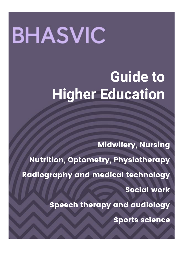# **BHASVIC**

# **Guide to Higher Education**

Midwifery, Nursing

Nutrition, Optometry, Physiotherapy

Radiography and medical technology

Social work

Speech therapy and audiology

Sports science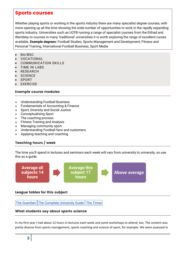# Sports courses

Whether playing sports or working in the sports industry there are many specialist degree courses, with more opening up all the time showing the wide number of opportunities to work in the rapidly expanding sports industry. Universities such as UCFB running a range of specialist courses from the Etihad and Wembley to courses in many 'traditional' universities it is worth exploring the range of excellent curses available. **Example degrees:** Football Studies, Sports Management and Development, Fitness and Personal Training, International Football Business, Sport Media

- BA/BSC
- VOCATIONAL
- COMMUNICATION SKILLS
- TIME IN LABS
- RESEARCH
- **SCIENCE**
- SPORT
- EXERCISE

# Example course modules

- Understanding Football Business
- Fundamentals of Accounting & Finance
- Sport, Diversity and Social Justice
- Conceptualising Sport
- The coaching process
- Fitness Training and Analysis
- Managing community sport
- Understanding Football fans and customers
- Applying teaching and coaching

# Teaching hours / week

The time you'll spend in lectures and seminars each week will vary from university to university, so use this as a guide.



# League tables for this subject

The [Guardian](https://www.theguardian.com/education/ng-interactive/2017/may/16/university-league-tables-2018) The Complete [University](http://www.thecompleteuniversityguide.co.uk/league-tables/rankings?s=Architecture) Guide The [Times](https://www.thetimes.co.uk/article/top-by-subject-mgbnm672r)

# What students say about sports science

In my first year I had about 12 hours in lectures each week and some workshops to attend, too. The content was pretty diverse from sports management, sports coaching and science of sport, for example. We were assessed in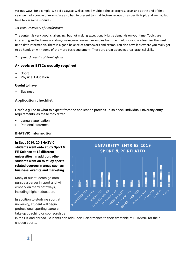various ways, for example, we did essays as well as small multiple choice progress tests and at the end of first year we had a couple of exams. We also had to present to small lecture groups on a specific topic and we had lab time too in some modules.

# *1st year, University of Hertfordshire*

The content is very good, challenging, but not making exceptionally large demands on your time. Topics are interesting and lecturers are always using new research examples from their fields so you are learning the most up to date information. There is a good balance of coursework and exams. You also have labs where you really get to be hands on with some of the more basic equipment. These are great as you get real practical skills.

#### *2nd year, University of Birmingham*

# A-levels or BTECs usually required

- Sport
- Physical Education

#### **Useful to have**

Business

# Application checklist

Here's a guide to what to expect from the application process - also check individual university entry requirements, as these may differ.

- January application
- Personal statement

# BHASVIC information

**In Sept 2019, 20 BHASVIC students went onto study Sport & PE Science at 12 different universities. In addition, other students went on to study sportsrelated degrees in areas such as business, evernts and marketing.**

Many of our students go onto pursue a career in sport and will embark on many pathways, including higher education.

In addition to studying sport at university, student will begin professional sporting careers, take up coaching or sponsorships



in the UK and abroad. Students can add Sport Performance to their timetable at BHASVIC for their chosen sports.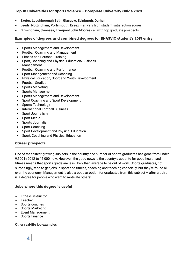# Top 10 Universities for Sports Science - Complete University Guide 2020

- **Exeter, Loughborough Bath, Glasgow, Edinburgh, Durham**
- **Leeds, Nottingham, Portsmouth, Essex**  all very high student satisfaction scores
- **Birmingham, Swansea, Liverpool John Moores**  all with top graduate prospects

# Examples of degrees and combined degrees for BHASVIC student's 2019 entry

- Sports Management and Development
- Football Coaching and Management
- Fitness and Personal Training
- Sport, Coaching and Physical Education/Business Management
- Football Coaching and Performance
- Sport Management and Coaching
- Physical Education, Sport and Youth Development
- Football Studies
- Sports Marketing
- Sports Management
- Sports Management and Development
- Sport Coaching and Sport Development
- Sports Technology
- International Football Business
- Sport Journalism
- Sport Media
- Sports Journalism
- Sport Coaching
- Sport Development and Physical Education
- Sport, Coaching and Physical Education

# Career prospects

One of the fastest growing subjects in the country, the number of sports graduates has gone from under 9,500 in 2012 to 15,000 now. However, the good news is the country's appetite for good health and fitness means that sports grads are less likely than average to be out of work. Sports graduates, not surprisingly, tend to get jobs in sport and fitness, coaching and teaching especially, but they're found all over the economy. Management is also a popular option for graduates from this subject – after all, this is a degree for people who want to motivate others!

# Jobs where this degree is useful

- Fitness instructor
- Teacher
- Sports coaches
- Sports Marketing
- Event Management
- Sports Finance

#### **Other real-life job examples**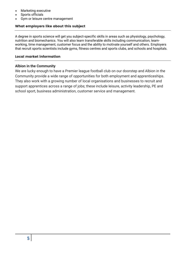- Marketing executive
- Sports officials
- Gym or leisure centre management

# What employers like about this subject

A degree in sports science will get you subject-specific skills in areas such as physiology, psychology, nutrition and biomechanics. You will also learn transferable skills including communication, teamworking, time management, customer focus and the ability to motivate yourself and others. Employers that recruit sports scientists include gyms, fitness centres and sports clubs, and schools and hospitals.

# Local market information

# **Albion in the Community**

We are lucky enough to have a Premier league football club on our doorstep and Albion in the Community provide a wide range of opportunities for both employment and apprenticeships. They also work with a growing number of local organisations and businesses to recruit and support apprentices across a range of jobs; these include leisure, activity leadership, PE and school sport, business administration, customer service and management.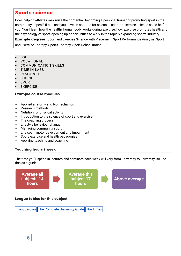# Sports science

Does helping athletes maximize their potential, becoming a personal trainer or promoting sport in the community appeal? If so - and you have an aptitude for science - sport or exercise science could be for you. You'll learn how the healthy human body works during exercise, how exercise promotes health and the psychology of sport, opening up opportunities to work in the rapidly expanding sports industry.

**Example degrees:** Sport and Exercise Science with Placement, Sport Performance Analysis, Sport and Exercise Therapy, Sports Therapy, Sport Rehabilitation

- BSC
- VOCATIONAL
- COMMUNICATION SKILLS
- TIME IN LABS
- RESEARCH
- **SCIENCE**
- **SPORT**
- EXERCISE

#### Example course modules

- Applied anatomy and biomechanics
- Research methods
- Nutrition for phsyical activity
- Introduction to the science of sport and exercise
- The coaching process
- Lifestyle behaviour change
- Managing community sport
- Life span, motor development and impairment
- Sport, exercise and health pedagogies
- Applying teaching and coaching

# Teaching hours / week

The time you'll spend in lectures and seminars each week will vary from university to university, so use this as a guide.



# League tables for this subject

The [Guardian](https://www.theguardian.com/education/ng-interactive/2017/may/16/university-league-tables-2018) The Complete [University](http://www.thecompleteuniversityguide.co.uk/league-tables/rankings?s=Architecture) Guide The [Times](https://www.thetimes.co.uk/article/top-by-subject-mgbnm672r)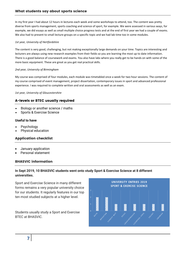In my first year I had about 12 hours in lectures each week and some workshops to attend, too. The content was pretty diverse from sports management, sports coaching and science of sport, for example. We were assessed in various ways, for example, we did essays as well as small multiple choice progress tests and at the end of first year we had a couple of exams. We also had to present to small lecture groups on a specific topic and we had lab time too in some modules.

#### *1st year, University of Hertfordshire*

The content is very good, challenging, but not making exceptionally large demands on your time. Topics are interesting and lecturers are always using new research examples from their fields so you are learning the most up to date information. There is a good balance of coursework and exams. You also have labs where you really get to be hands on with some of the more basic equipment. These are great as you get real practical skills.

#### *2nd year, University of Birmingham*

My course was comprised of four modules, each module was timetabled once a week for two hour sessions. The content of my course comprised of event management, project dissertation, contemporary issues in sport and advanced professional experience. I was required to complete written and oral assessments as well as an exam.

#### *1st year, University of Gloucestershire*

# A-levels or BTEC usually required

- Biology or another science / maths
- Sports & Exercise Science

# **Useful to have**

- Psychology
- Physical education

# Application checklist

- January application
- Personal statement

# BHASVIC information

# **In Sept 2019, 10 BHASVIC students went onto study Sport & Exercise Science at 8 different universities.**

Sport and Exercise Science in many different forms remains a very popular university choice for our students. It regularly features in our top ten most studied subjects at a higher level.

Students usually study a Sport and Exercise BTEC at BHASVIC.

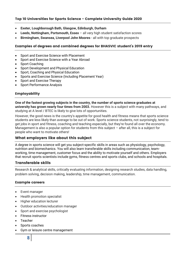# Top 10 Universities for Sports Science - Complete University Guide 2020

- **Exeter, Loughborough Bath, Glasgow, Edinburgh, Durham**
- **Leeds, Nottingham, Portsmouth, Essex**  all very high student satisfaction scores
- **Birmingham, Swansea, Liverpool John Moores**  all with top graduate prospects

#### Examples of degrees and combined degrees for BHASVIC student's 2019 entry

- Sport and Exercise Science with Placement
- Sport and Exercise Science with a Year Abroad
- Sport Coaching
- Sport Development and Physical Education
- Sport, Coaching and Physical Education
- Sports and Exercise Science (Including Placement Year)
- Sport and Exercise Therapy
- Sport Performance Analysis

# Employability

**One of the fastest growing subjects in the country, the number of sports science graduates at university has grown nearly four times from 2003.** However this is a subject with many pathways, and studying at A level / BTEC is likely to give lots of opportunities.

However, the good news is the country's appetite for good health and fitness means that sports science students are less likely than average to be out of work. Sports science students, not surprisingly, tend to get jobs in sport and fitness, coaching and teaching especially, but they're found all over the economy. Management is also a popular option for students from this subject – after all, this is a subject for people who want to motivate others!

# What employers like about this subject

A degree in sports science will get you subject-specific skills in areas such as physiology, psychology, nutrition and biomechanics. You will also learn transferable skills including communication, teamworking, time management, customer focus and the ability to motivate yourself and others. Employers that recruit sports scientists include gyms, fitness centres and sports clubs, and schools and hospitals.

# Transferable skills

Research & analytical skills, critically evaluating information, designing research studies, data handling, problem solving, decision making, leadership, time management, communication.

# Example careers

- Event manager
- Health promotion specialist
- Higher education lecturer
- Outdoor activities/education manager
- Sport and exercise psychologist
- Fitness instructor
- Teacher
- Sports coaches
- Gym or leisure centre management